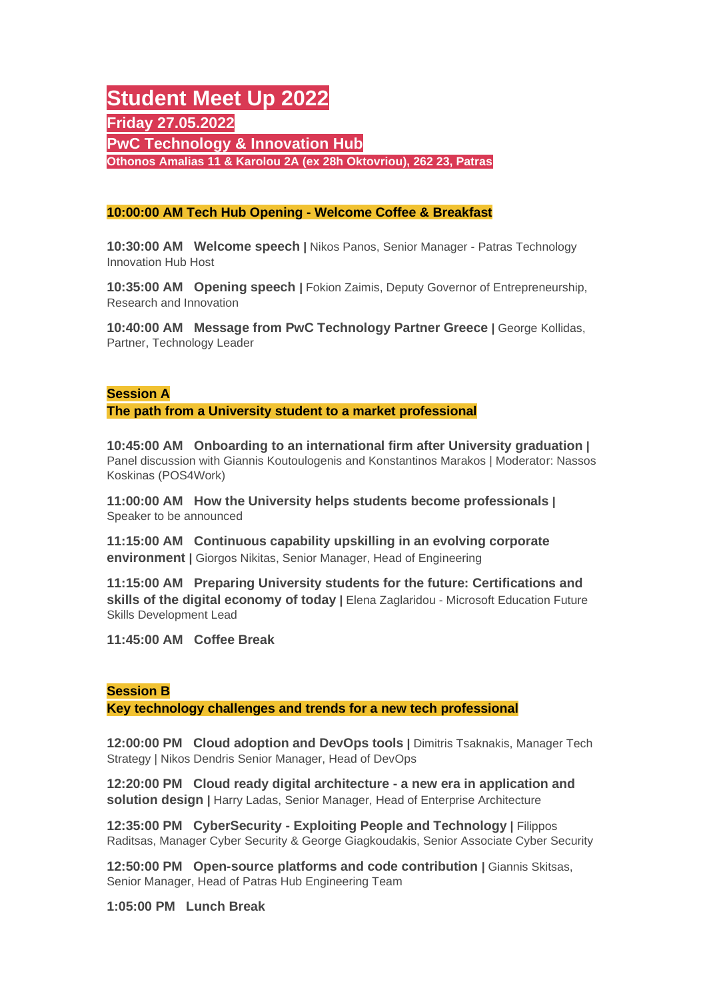# **Student Meet Up 2022 Friday 27.05.2022 PwC Technology & Innovation Hub Othonos Amalias 11 & Karolou 2A (ex 28h Oktovriou), 262 23, Patras**

## **10:00:00 AM Tech Hub Opening - Welcome Coffee & Breakfast**

**10:30:00 AM Welcome speech |** Nikos Panos, Senior Manager - Patras Technology Innovation Hub Host

**10:35:00 AM Opening speech |** Fokion Zaimis, Deputy Governor of Entrepreneurship, Research and Innovation

**10:40:00 AM Message from PwC Technology Partner Greece |** George Kollidas, Partner, Technology Leader

## **Session A**

**The path from a University student to a market professional**

**10:45:00 AM Onboarding to an international firm after University graduation |**  Panel discussion with Giannis Koutoulogenis and Konstantinos Marakos | Moderator: Nassos Koskinas (POS4Work)

**11:00:00 AM How the University helps students become professionals |**  Speaker to be announced

**11:15:00 AM Continuous capability upskilling in an evolving corporate environment |** Giorgos Nikitas, Senior Manager, Head of Engineering

**11:15:00 AM Preparing University students for the future: Certifications and skills of the digital economy of today |** Elena Zaglaridou - Microsoft Education Future Skills Development Lead

**11:45:00 AM Coffee Break**

### **Session B**

**Key technology challenges and trends for a new tech professional**

**12:00:00 PM Cloud adoption and DevOps tools |** Dimitris Tsaknakis, Manager Tech Strategy | Nikos Dendris Senior Manager, Head of DevOps

**12:20:00 PM Cloud ready digital architecture - a new era in application and solution design |** Harry Ladas, Senior Manager, Head of Enterprise Architecture

**12:35:00 PM CyberSecurity - Exploiting People and Technology |** Filippos Raditsas, Manager Cyber Security & George Giagkoudakis, Senior Associate Cyber Security

**12:50:00 PM Open-source platforms and code contribution |** Giannis Skitsas, Senior Manager, Head of Patras Hub Engineering Team

**1:05:00 PM Lunch Break**